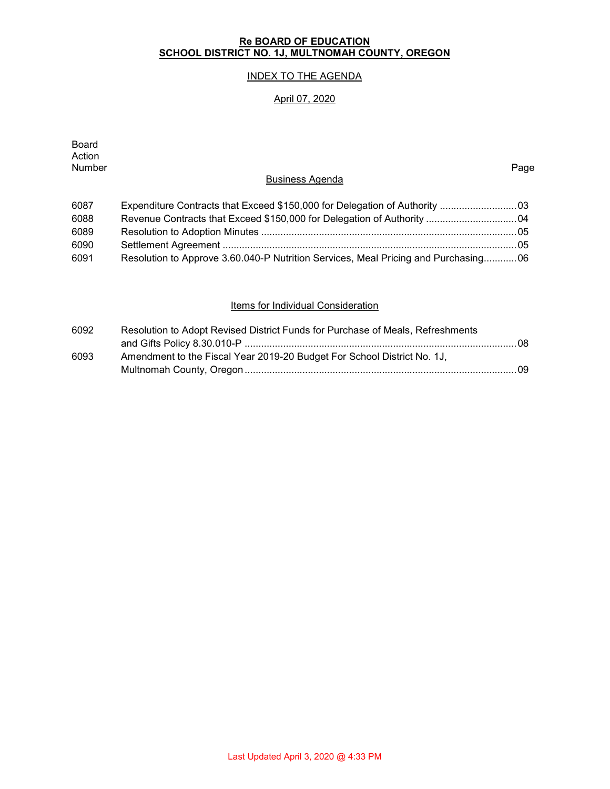## **Re BOARD OF EDUCATION SCHOOL DISTRICT NO. 1J, MULTNOMAH COUNTY, OREGON**

## INDEX TO THE AGENDA

## April 07, 2020

| <b>Board</b><br>Action<br>Number |                                                                                     | Page |
|----------------------------------|-------------------------------------------------------------------------------------|------|
|                                  | <b>Business Agenda</b>                                                              |      |
| 6087                             | Expenditure Contracts that Exceed \$150,000 for Delegation of Authority  03         |      |
| 6088                             |                                                                                     |      |
| 6089                             |                                                                                     |      |
| 6090                             |                                                                                     |      |
| 6091                             | Resolution to Approve 3.60.040-P Nutrition Services, Meal Pricing and Purchasing 06 |      |

#### Items for Individual Consideration

| 6092 | Resolution to Adopt Revised District Funds for Purchase of Meals, Refreshments |  |
|------|--------------------------------------------------------------------------------|--|
|      |                                                                                |  |
| 6093 | Amendment to the Fiscal Year 2019-20 Budget For School District No. 1J,        |  |
|      |                                                                                |  |
|      |                                                                                |  |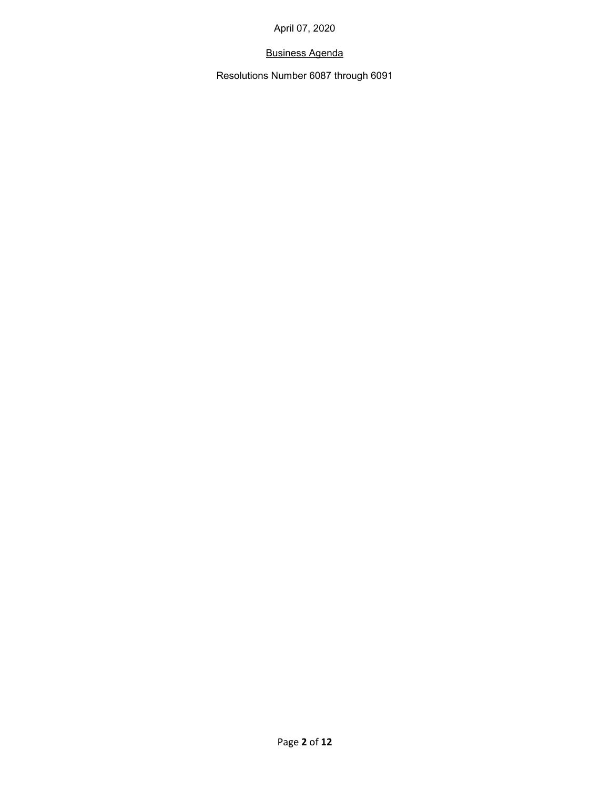# Business Agenda

Resolutions Number 6087 through 6091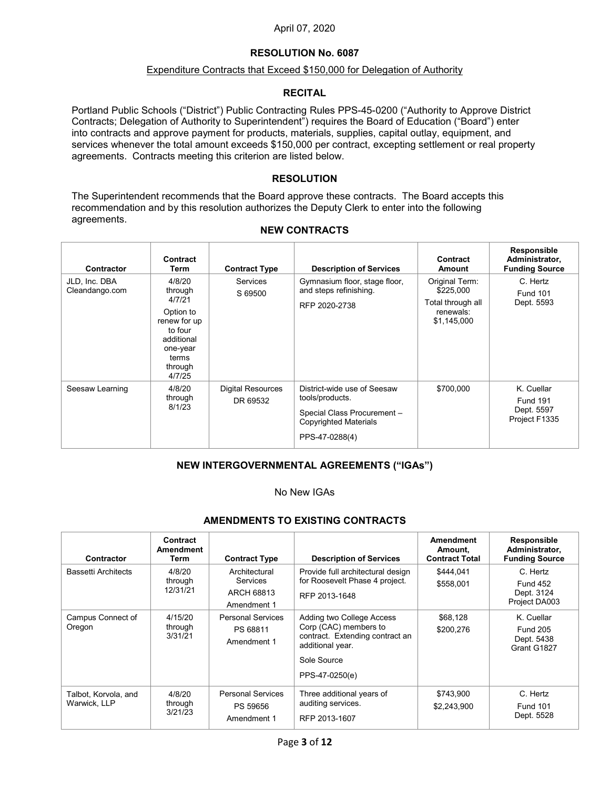## **RESOLUTION No. 6087**

#### Expenditure Contracts that Exceed \$150,000 for Delegation of Authority

#### **RECITAL**

Portland Public Schools ("District") Public Contracting Rules PPS-45-0200 ("Authority to Approve District Contracts; Delegation of Authority to Superintendent") requires the Board of Education ("Board") enter into contracts and approve payment for products, materials, supplies, capital outlay, equipment, and services whenever the total amount exceeds \$150,000 per contract, excepting settlement or real property agreements. Contracts meeting this criterion are listed below.

#### **RESOLUTION**

The Superintendent recommends that the Board approve these contracts. The Board accepts this recommendation and by this resolution authorizes the Deputy Clerk to enter into the following agreements.

## **NEW CONTRACTS**

| <b>Contractor</b>               | Contract<br>Term                                                                                                            | <b>Contract Type</b>                 | <b>Description of Services</b>                                                                                           | Contract<br>Amount                                                           | Responsible<br>Administrator,<br><b>Funding Source</b>       |
|---------------------------------|-----------------------------------------------------------------------------------------------------------------------------|--------------------------------------|--------------------------------------------------------------------------------------------------------------------------|------------------------------------------------------------------------------|--------------------------------------------------------------|
| JLD, Inc. DBA<br>Cleandango.com | 4/8/20<br>through<br>4/7/21<br>Option to<br>renew for up<br>to four<br>additional<br>one-year<br>terms<br>through<br>4/7/25 | <b>Services</b><br>S 69500           | Gymnasium floor, stage floor,<br>and steps refinishing.<br>RFP 2020-2738                                                 | Original Term:<br>\$225,000<br>Total through all<br>renewals:<br>\$1,145,000 | C. Hertz<br><b>Fund 101</b><br>Dept. 5593                    |
| Seesaw Learning                 | 4/8/20<br>through<br>8/1/23                                                                                                 | <b>Digital Resources</b><br>DR 69532 | District-wide use of Seesaw<br>tools/products.<br>Special Class Procurement -<br>Copyrighted Materials<br>PPS-47-0288(4) | \$700,000                                                                    | K. Cuellar<br><b>Fund 191</b><br>Dept. 5597<br>Project F1335 |

## **NEW INTERGOVERNMENTAL AGREEMENTS ("IGAs")**

No New IGAs

#### **AMENDMENTS TO EXISTING CONTRACTS**

| Contractor                           | Contract<br>Amendment<br>Term | <b>Contract Type</b>                                          | <b>Description of Services</b>                                                                                                             | <b>Amendment</b><br>Amount.<br><b>Contract Total</b> | Responsible<br>Administrator,<br><b>Funding Source</b>     |
|--------------------------------------|-------------------------------|---------------------------------------------------------------|--------------------------------------------------------------------------------------------------------------------------------------------|------------------------------------------------------|------------------------------------------------------------|
| <b>Bassetti Architects</b>           | 4/8/20<br>through<br>12/31/21 | Architectural<br><b>Services</b><br>ARCH 68813<br>Amendment 1 | Provide full architectural design<br>for Roosevelt Phase 4 project.<br>RFP 2013-1648                                                       | \$444.041<br>\$558,001                               | C. Hertz<br><b>Fund 452</b><br>Dept. 3124<br>Project DA003 |
| Campus Connect of<br>Oregon          | 4/15/20<br>through<br>3/31/21 | <b>Personal Services</b><br>PS 68811<br>Amendment 1           | Adding two College Access<br>Corp (CAC) members to<br>contract. Extending contract an<br>additional year.<br>Sole Source<br>PPS-47-0250(e) | \$68,128<br>\$200,276                                | K. Cuellar<br><b>Fund 205</b><br>Dept. 5438<br>Grant G1827 |
| Talbot, Korvola, and<br>Warwick, LLP | 4/8/20<br>through<br>3/21/23  | <b>Personal Services</b><br>PS 59656<br>Amendment 1           | Three additional years of<br>auditing services.<br>RFP 2013-1607                                                                           | \$743,900<br>\$2,243,900                             | C. Hertz<br><b>Fund 101</b><br>Dept. 5528                  |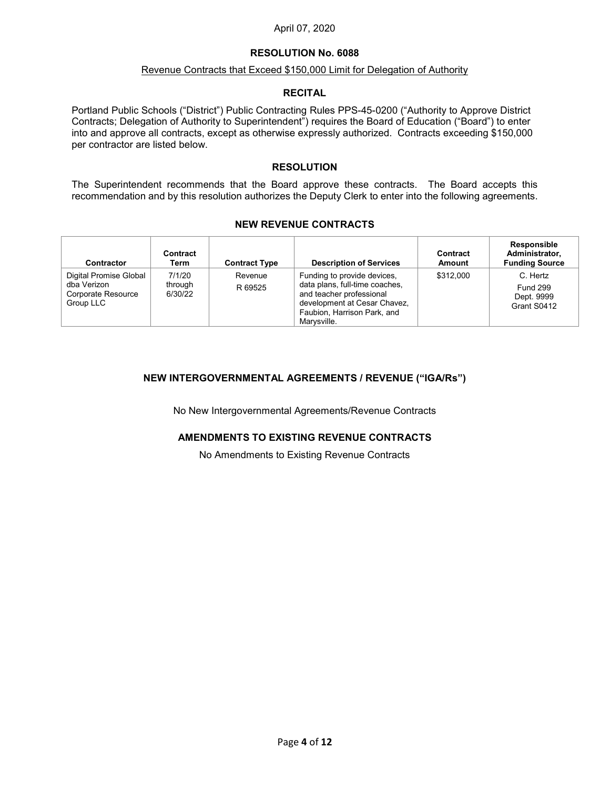## **RESOLUTION No. 6088**

#### Revenue Contracts that Exceed \$150,000 Limit for Delegation of Authority

#### **RECITAL**

Portland Public Schools ("District") Public Contracting Rules PPS-45-0200 ("Authority to Approve District Contracts; Delegation of Authority to Superintendent") requires the Board of Education ("Board") to enter into and approve all contracts, except as otherwise expressly authorized. Contracts exceeding \$150,000 per contractor are listed below.

## **RESOLUTION**

The Superintendent recommends that the Board approve these contracts. The Board accepts this recommendation and by this resolution authorizes the Deputy Clerk to enter into the following agreements.

## **NEW REVENUE CONTRACTS**

| <b>Contractor</b>                                                        | Contract<br>Term             | <b>Contract Type</b> | <b>Description of Services</b>                                                                                                                                          | Contract<br>Amount | Responsible<br>Administrator,<br><b>Funding Source</b>   |
|--------------------------------------------------------------------------|------------------------------|----------------------|-------------------------------------------------------------------------------------------------------------------------------------------------------------------------|--------------------|----------------------------------------------------------|
| Digital Promise Global<br>dba Verizon<br>Corporate Resource<br>Group LLC | 7/1/20<br>through<br>6/30/22 | Revenue<br>R 69525   | Funding to provide devices,<br>data plans, full-time coaches,<br>and teacher professional<br>development at Cesar Chavez.<br>Faubion, Harrison Park, and<br>Marvsville. | \$312,000          | C. Hertz<br><b>Fund 299</b><br>Dept. 9999<br>Grant S0412 |

## **NEW INTERGOVERNMENTAL AGREEMENTS / REVENUE ("IGA/Rs")**

No New Intergovernmental Agreements/Revenue Contracts

## **AMENDMENTS TO EXISTING REVENUE CONTRACTS**

No Amendments to Existing Revenue Contracts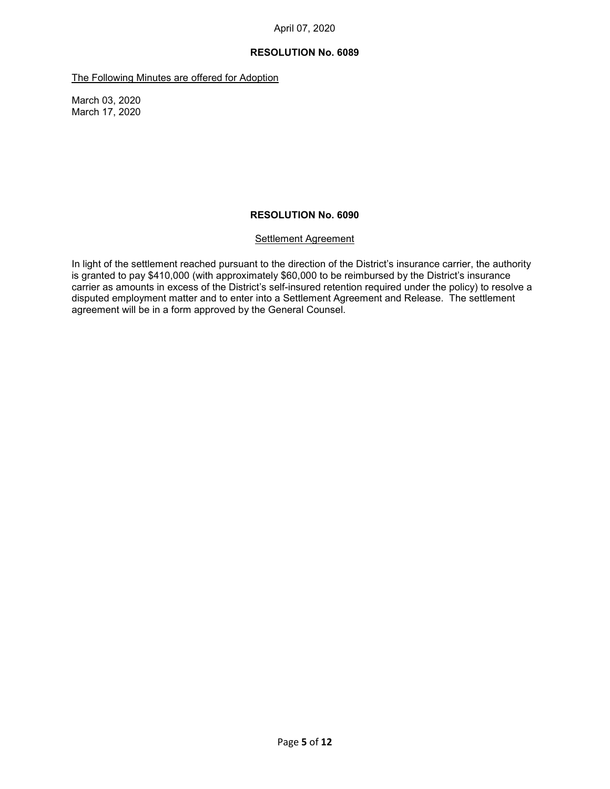## **RESOLUTION No. 6089**

The Following Minutes are offered for Adoption

March 03, 2020 March 17, 2020

## **RESOLUTION No. 6090**

## Settlement Agreement

In light of the settlement reached pursuant to the direction of the District's insurance carrier, the authority is granted to pay \$410,000 (with approximately \$60,000 to be reimbursed by the District's insurance carrier as amounts in excess of the District's self-insured retention required under the policy) to resolve a disputed employment matter and to enter into a Settlement Agreement and Release. The settlement agreement will be in a form approved by the General Counsel.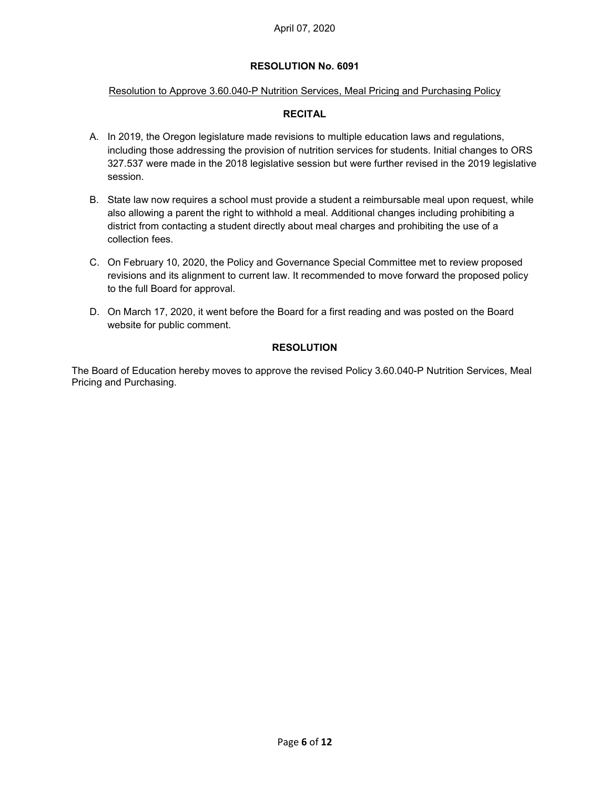## **RESOLUTION No. 6091**

#### Resolution to Approve 3.60.040-P Nutrition Services, Meal Pricing and Purchasing Policy

#### **RECITAL**

- A. In 2019, the Oregon legislature made revisions to multiple education laws and regulations, including those addressing the provision of nutrition services for students. Initial changes to ORS 327.537 were made in the 2018 legislative session but were further revised in the 2019 legislative session.
- B. State law now requires a school must provide a student a reimbursable meal upon request, while also allowing a parent the right to withhold a meal. Additional changes including prohibiting a district from contacting a student directly about meal charges and prohibiting the use of a collection fees.
- C. On February 10, 2020, the Policy and Governance Special Committee met to review proposed revisions and its alignment to current law. It recommended to move forward the proposed policy to the full Board for approval.
- D. On March 17, 2020, it went before the Board for a first reading and was posted on the Board website for public comment.

## **RESOLUTION**

The Board of Education hereby moves to approve the revised Policy 3.60.040-P Nutrition Services, Meal Pricing and Purchasing.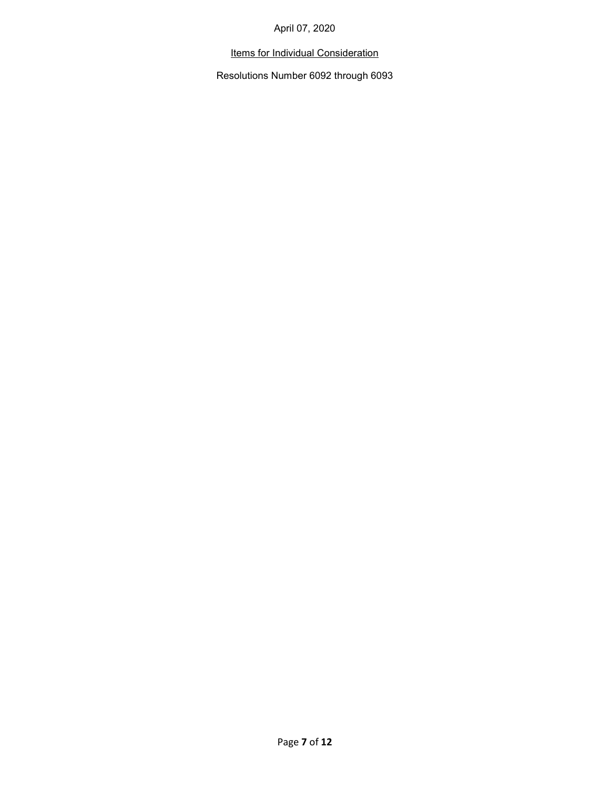Items for Individual Consideration

Resolutions Number 6092 through 6093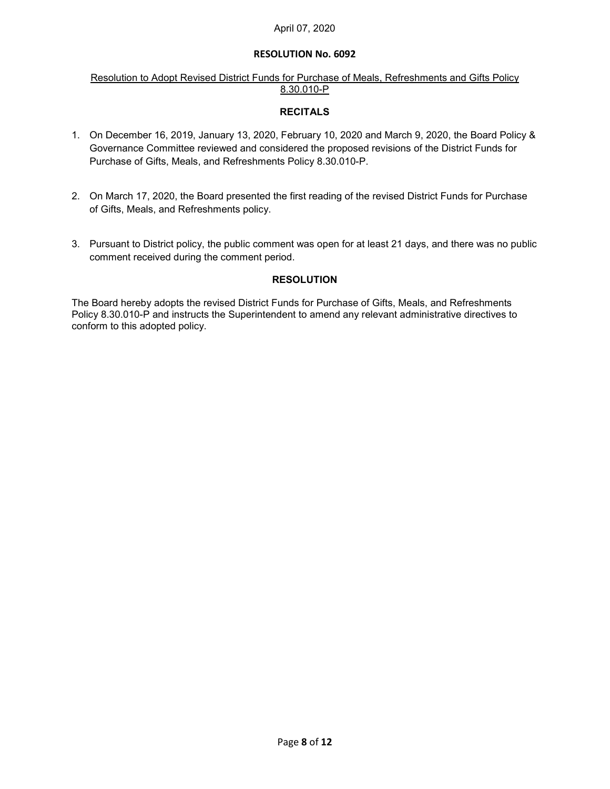## **RESOLUTION No. 6092**

## Resolution to Adopt Revised District Funds for Purchase of Meals, Refreshments and Gifts Policy 8.30.010-P

## **RECITALS**

- 1. On December 16, 2019, January 13, 2020, February 10, 2020 and March 9, 2020, the Board Policy & Governance Committee reviewed and considered the proposed revisions of the District Funds for Purchase of Gifts, Meals, and Refreshments Policy 8.30.010-P.
- 2. On March 17, 2020, the Board presented the first reading of the revised District Funds for Purchase of Gifts, Meals, and Refreshments policy.
- 3. Pursuant to District policy, the public comment was open for at least 21 days, and there was no public comment received during the comment period.

## **RESOLUTION**

The Board hereby adopts the revised District Funds for Purchase of Gifts, Meals, and Refreshments Policy 8.30.010-P and instructs the Superintendent to amend any relevant administrative directives to conform to this adopted policy.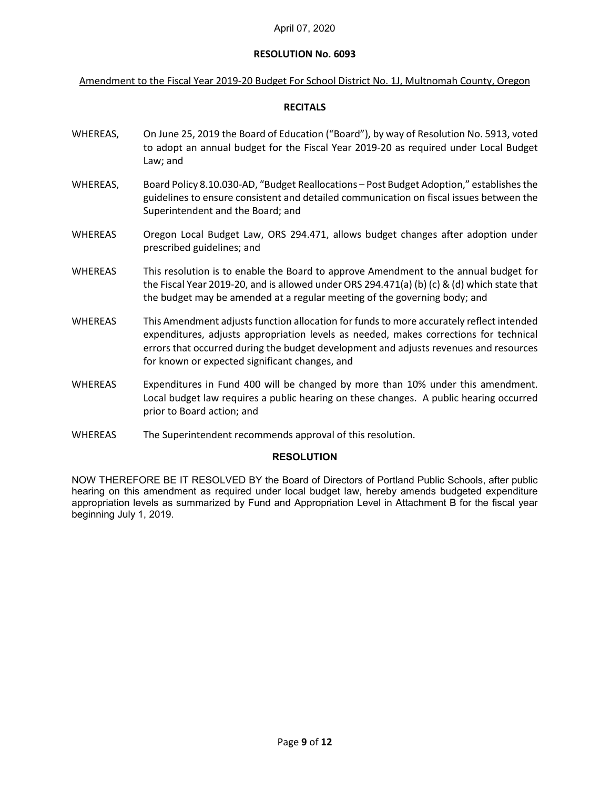## **RESOLUTION No. 6093**

Amendment to the Fiscal Year 2019-20 Budget For School District No. 1J, Multnomah County, Oregon

## **RECITALS**

- WHEREAS, On June 25, 2019 the Board of Education ("Board"), by way of Resolution No. 5913, voted to adopt an annual budget for the Fiscal Year 2019-20 as required under Local Budget Law; and
- WHEREAS, Board Policy 8.10.030-AD, "Budget Reallocations Post Budget Adoption," establishes the guidelines to ensure consistent and detailed communication on fiscal issues between the Superintendent and the Board; and
- WHEREAS Oregon Local Budget Law, ORS 294.471, allows budget changes after adoption under prescribed guidelines; and
- WHEREAS This resolution is to enable the Board to approve Amendment to the annual budget for the Fiscal Year 2019-20, and is allowed under ORS 294.471(a) (b) (c) & (d) which state that the budget may be amended at a regular meeting of the governing body; and
- WHEREAS This Amendment adjusts function allocation for funds to more accurately reflect intended expenditures, adjusts appropriation levels as needed, makes corrections for technical errors that occurred during the budget development and adjusts revenues and resources for known or expected significant changes, and
- WHEREAS Expenditures in Fund 400 will be changed by more than 10% under this amendment. Local budget law requires a public hearing on these changes. A public hearing occurred prior to Board action; and
- WHEREAS The Superintendent recommends approval of this resolution.

## **RESOLUTION**

NOW THEREFORE BE IT RESOLVED BY the Board of Directors of Portland Public Schools, after public hearing on this amendment as required under local budget law, hereby amends budgeted expenditure appropriation levels as summarized by Fund and Appropriation Level in Attachment B for the fiscal year beginning July 1, 2019.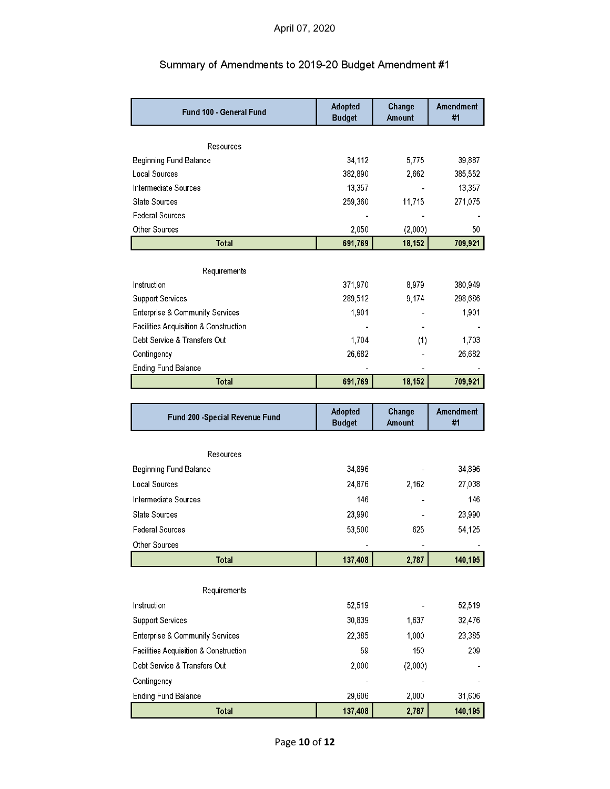| <b>Fund 100 - General Fund</b>             | Adopted<br><b>Budget</b> | Change<br>Amount        | Amendment<br>#1        |
|--------------------------------------------|--------------------------|-------------------------|------------------------|
| Resources                                  |                          |                         |                        |
| Beginning Fund Balance                     | 34,112                   | 5,775                   | 39,887                 |
| <b>Local Sources</b>                       | 382,890                  | 2,662                   | 385,552                |
| Intermediate Sources                       | 13,357                   |                         | 13,357                 |
| <b>State Sources</b>                       | 259,360                  | 11,715                  | 271,075                |
| <b>Federal Sources</b>                     |                          |                         |                        |
| <b>Other Sources</b>                       | 2,050                    | (2,000)                 | 50                     |
| <b>Total</b>                               | 691,769                  | 18,152                  | 709,921                |
| Requirements                               |                          |                         |                        |
| Instruction                                | 371,970                  | 8,979                   | 380,949                |
| <b>Support Services</b>                    | 289,512                  | 9,174                   | 298,686                |
| <b>Enterprise &amp; Community Services</b> | 1,901                    |                         | 1,901                  |
| Facilities Acquisition & Construction      |                          |                         |                        |
| Debt Service & Transfers Out               | 1,704                    | (1)                     | 1,703                  |
| Contingency                                | 26,682                   |                         | 26,682                 |
| <b>Ending Fund Balance</b>                 |                          |                         |                        |
| <b>Total</b>                               | 691,769                  | 18,152                  | 709,921                |
|                                            |                          |                         |                        |
|                                            |                          |                         |                        |
| Fund 200 -Special Revenue Fund             | Adopted<br><b>Budget</b> | Change<br><b>Amount</b> | <b>Amendment</b><br>#1 |
|                                            |                          |                         |                        |
| Resources                                  |                          |                         |                        |
| Beginning Fund Balance                     | 34,896                   |                         | 34,896                 |
| <b>Local Sources</b>                       | 24,876                   | 2,162                   | 27,038                 |
| Intermediate Sources                       | 146                      |                         | 146                    |
| <b>State Sources</b>                       | 23,990                   |                         | 23,990                 |
| <b>Federal Sources</b>                     | 53,500                   | 625                     | 54,125                 |
| Other Sources                              |                          |                         |                        |
| <b>Total</b>                               | 137,408                  | 2,787                   | 140,195                |
|                                            |                          |                         |                        |
| Requirements                               |                          |                         |                        |
| Instruction                                | 52,519                   |                         | 52,519                 |
| <b>Support Services</b>                    | 30,839                   | 1,637                   | 32,476                 |
| <b>Enterprise &amp; Community Services</b> | 22,385                   | 1,000                   | 23,385                 |
| Facilities Acquisition & Construction      | 59                       | 150                     | 209                    |
| Debt Service & Transfers Out               | 2,000                    | (2,000)                 |                        |
| Contingency                                |                          |                         |                        |
| <b>Ending Fund Balance</b>                 | 29,606                   | 2,000                   | 31,606                 |

# Summary of Amendments to 2019-20 Budget Amendment #1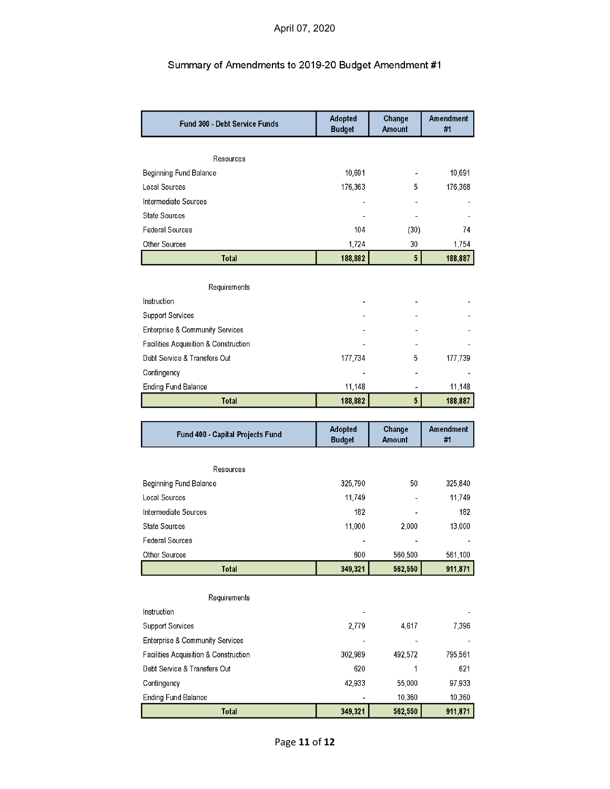# Summary of Amendments to 2019-20 Budget Amendment #1

| Fund 300 - Debt Service Funds                  | Adopted<br><b>Budget</b> | Change<br>Amount | Amendment<br>#1 |
|------------------------------------------------|--------------------------|------------------|-----------------|
|                                                |                          |                  |                 |
| Resources                                      |                          |                  |                 |
| Beginning Fund Balance<br><b>Local Sources</b> | 10,691<br>176,363        | 5                | 10,691          |
| Intermediate Sources                           |                          |                  | 176,368         |
| <b>State Sources</b>                           |                          |                  |                 |
| <b>Federal Sources</b>                         | 104                      | (30)             | 74              |
| Other Sources                                  | 1,724                    | 30               | 1,754           |
| <b>Total</b>                                   | 188,882                  | 5                | 188,887         |
|                                                |                          |                  |                 |
| Requirements                                   |                          |                  |                 |
| Instruction                                    |                          |                  |                 |
| <b>Support Services</b>                        |                          |                  |                 |
| <b>Enterprise &amp; Community Services</b>     |                          |                  |                 |
| Facilities Acquisition & Construction          |                          |                  |                 |
| Debt Service & Transfers Out                   | 177,734                  | 5                | 177,739         |
| Contingency                                    |                          |                  |                 |
| <b>Ending Fund Balance</b>                     | 11,148                   |                  | 11,148          |
| <b>Total</b>                                   | 188,882                  | $5\phantom{.0}$  | 188,887         |
|                                                |                          |                  |                 |
|                                                |                          |                  |                 |
| Fund 400 - Capital Projects Fund               | Adopted<br><b>Budget</b> | Change<br>Amount | Amendment<br>#1 |
|                                                |                          |                  |                 |
| Resources                                      |                          |                  |                 |
| Beginning Fund Balance                         | 325,790                  | 50               | 325,840         |
| Local Sources                                  | 11,749                   |                  | 11,749          |
| Intermediate Sources                           | 182                      |                  | 182             |
| <b>State Sources</b>                           | 11,000                   | 2,000            | 13,000          |
| <b>Federal Sources</b>                         |                          |                  |                 |
| Other Sources                                  | 600                      | 560,500          | 561,100         |
| <b>Total</b>                                   | 349,321                  | 562,550          | 911,871         |
|                                                |                          |                  |                 |
| Requirements<br>Instruction                    |                          |                  |                 |
| <b>Support Services</b>                        | 2,779                    | 4,617            | 7,396           |
| <b>Enterprise &amp; Community Services</b>     |                          |                  |                 |
| Facilities Acquisition & Construction          | 302,989                  | 492,572          | 795,561         |
| Debt Service & Transfers Out                   | 620                      | 1                | 621             |
| Contingency                                    | 42,933                   | 55,000           | 97,933          |
| <b>Ending Fund Balance</b>                     |                          | 10,360           | 10,360          |